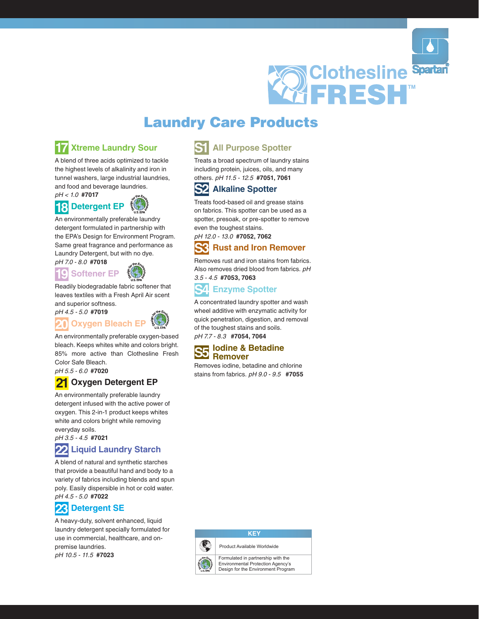

# **Laundry Care Products**

#### **Xtreme Laundry Sour** 17

A blend of three acids optimized to tackle the highest levels of alkalinity and iron in tunnel washers, large industrial laundries. and food and beverage laundries.

 $pH < 1.0$  #7017

18



An environmentally preferable laundry detergent formulated in partnership with the EPA's Design for Environment Program. Same great fragrance and performance as Laundry Detergent, but with no dye.

## pH 7.0 - 8.0 #7018 **IL**



Readily biodegradable fabric softener that leaves textiles with a Fresh April Air scent and superior softness.





An environmentally preferable oxygen-based bleach. Keeps whites white and colors bright. 85% more active than Clothesline Fresh Color Safe Bleach.

pH 5.5 - 6.0 #7020

## **Oxygen Detergent EP**

An environmentally preferable laundry detergent infused with the active power of oxygen. This 2-in-1 product keeps whites white and colors bright while removing everyday soils.

pH 3.5 - 4.5 #7021

## **Liquid Laundry Starch**

A blend of natural and synthetic starches that provide a beautiful hand and body to a variety of fabrics including blends and spun poly. Easily dispersible in hot or cold water. pH 4.5 - 5.0 #7022

#### **Detergent SE** 23

A heavy-duty, solvent enhanced, liquid laundry detergent specially formulated for use in commercial, healthcare, and onpremise laundries. pH 10.5 - 11.5 #7023

# **All Purpose Spotter**

Treats a broad spectrum of laundry stains including protein, juices, oils, and many others. pH 11.5 - 12.5 #7051, 7061

#### **S2 Alkaline Spotter**

Treats food-based oil and grease stains on fabrics. This spotter can be used as a spotter, presoak, or pre-spotter to remove even the toughest stains.

pH 12.0 - 13.0 #7052, 7062

#### R **Rust and Iron Remover**

Removes rust and iron stains from fabrics. Also removes dried blood from fabrics. pH  $3.5 - 4.5$  #7053, 7063

#### ς4 **Enzyme Spotter**

A concentrated laundry spotter and wash wheel additive with enzymatic activity for quick penetration, digestion, and removal of the toughest stains and soils. pH 7.7 - 8.3 #7054, 7064

### **Iodine & Betadine Remover**

Removes iodine, betadine and chlorine stains from fabrics. pH 9.0 - 9.5 #7055